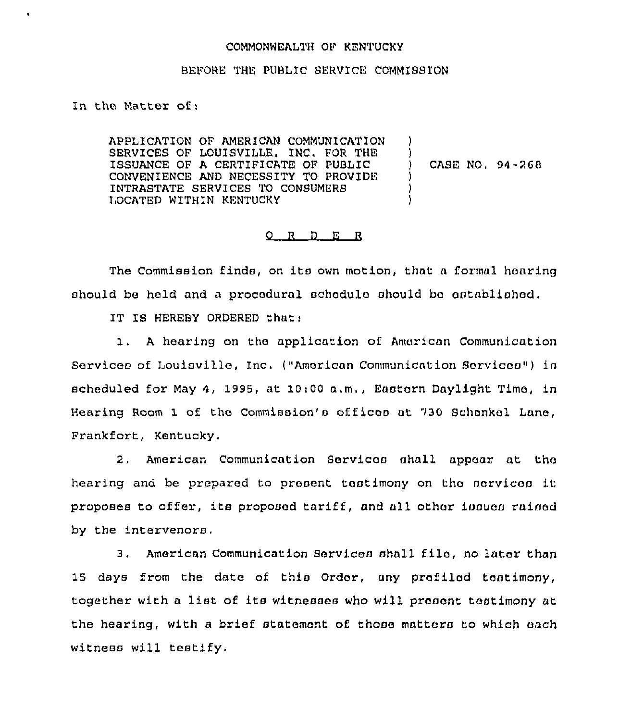## COMMONWEALTH OF KENTUCKY

## BEFORE THE PUBLIC SERVICE COMMISSION

In the Matter of

APPLICATION OF AMERICAN COMMUNICATION SERVICES OF LOUISVILLE, INC. FOR THE ISSUANCE OF A CERTIFICATE OF PUBLIC CONVENIENCE AND NECESSITY TO PROVIDE INTRASTATE SERVICES TO CONSUMERS LOCATED WITHIN KENTUCKY ) ) ) CASE NO, 94-?60 ) ) )

## O R D E R

The Commission finds, on its own motion, that <sup>a</sup> formal hearing should be held and a procedural schedulo should be established.

IT IS HEREBY ORDERED that:

<sup>A</sup> hearing on the application of American Communication Services of Louisville, Inc. ("American Communication Services") in scheduled for May 4, 1995, at 10:00 a.m., Eastern Daylight Time, in Hearing Room 1 of the Commission's off icos at 930 Schonkol Lane, Frankfort, Kentucky,

2, American Communication Services shall appear at the hearing and be prepared to present testimony on the services it proposes to offer, its proposed tariff, and all other issues rained by the intervenors.

 $3.1$ American Communication Services shall filo, no later than 15 days from the date of this Order, any prefiled testimony, together with a list of its witnesses who will present testimony at the hearing, with a brief statement of those matters to which each witness will testify.